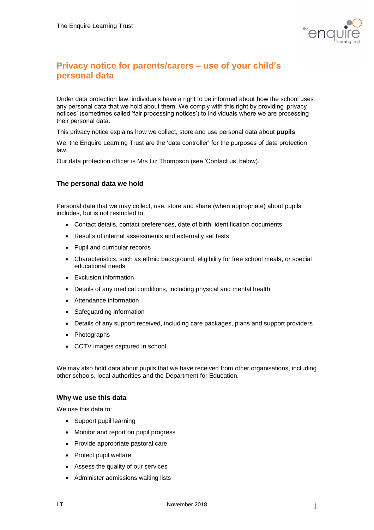

# **Privacy notice for parents/carers – use of your child's personal data**

Under data protection law, individuals have a right to be informed about how the school uses any personal data that we hold about them. We comply with this right by providing 'privacy notices' (sometimes called 'fair processing notices') to individuals where we are processing their personal data.

This privacy notice explains how we collect, store and use personal data about **pupils**.

We, the Enquire Learning Trust are the 'data controller' for the purposes of data protection law.

Our data protection officer is Mrs Liz Thompson (see 'Contact us' below).

## **The personal data we hold**

Personal data that we may collect, use, store and share (when appropriate) about pupils includes, but is not restricted to:

- Contact details, contact preferences, date of birth, identification documents
- Results of internal assessments and externally set tests
- Pupil and curricular records
- Characteristics, such as ethnic background, eligibility for free school meals, or special educational needs
- Exclusion information
- Details of any medical conditions, including physical and mental health
- Attendance information
- Safeguarding information
- Details of any support received, including care packages, plans and support providers
- Photographs
- CCTV images captured in school

We may also hold data about pupils that we have received from other organisations, including other schools, local authorities and the Department for Education.

#### **Why we use this data**

We use this data to:

- Support pupil learning
- Monitor and report on pupil progress
- Provide appropriate pastoral care
- Protect pupil welfare
- Assess the quality of our services
- Administer admissions waiting lists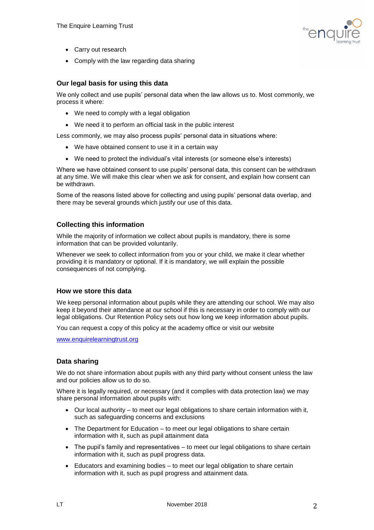

- Carry out research
- Comply with the law regarding data sharing

## **Our legal basis for using this data**

We only collect and use pupils' personal data when the law allows us to. Most commonly, we process it where:

- We need to comply with a legal obligation
- We need it to perform an official task in the public interest

Less commonly, we may also process pupils' personal data in situations where:

- We have obtained consent to use it in a certain way
- We need to protect the individual's vital interests (or someone else's interests)

Where we have obtained consent to use pupils' personal data, this consent can be withdrawn at any time. We will make this clear when we ask for consent, and explain how consent can be withdrawn.

Some of the reasons listed above for collecting and using pupils' personal data overlap, and there may be several grounds which justify our use of this data.

## **Collecting this information**

While the majority of information we collect about pupils is mandatory, there is some information that can be provided voluntarily.

Whenever we seek to collect information from you or your child, we make it clear whether providing it is mandatory or optional. If it is mandatory, we will explain the possible consequences of not complying.

## **How we store this data**

We keep personal information about pupils while they are attending our school. We may also keep it beyond their attendance at our school if this is necessary in order to comply with our legal obligations. Our Retention Policy sets out how long we keep information about pupils.

You can request a copy of this policy at the academy office or visit our website

[www.enquirelearningtrust.org](http://www.enquirelearningtrust.org/)

## **Data sharing**

We do not share information about pupils with any third party without consent unless the law and our policies allow us to do so.

Where it is legally required, or necessary (and it complies with data protection law) we may share personal information about pupils with:

- Our local authority to meet our legal obligations to share certain information with it, such as safeguarding concerns and exclusions
- The Department for Education to meet our legal obligations to share certain information with it, such as pupil attainment data
- The pupil's family and representatives to meet our legal obligations to share certain information with it, such as pupil progress data.
- Educators and examining bodies to meet our legal obligation to share certain information with it, such as pupil progress and attainment data.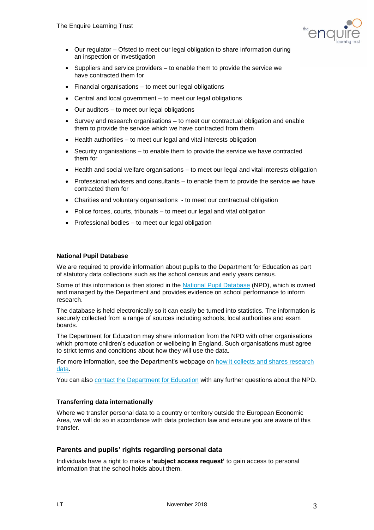

- Our regulator Ofsted to meet our legal obligation to share information during an inspection or investigation
- Suppliers and service providers to enable them to provide the service we have contracted them for
- Financial organisations to meet our legal obligations
- Central and local government to meet our legal obligations
- Our auditors to meet our legal obligations
- Survey and research organisations to meet our contractual obligation and enable them to provide the service which we have contracted from them
- Health authorities to meet our legal and vital interests obligation
- Security organisations to enable them to provide the service we have contracted them for
- Health and social welfare organisations to meet our legal and vital interests obligation
- Professional advisers and consultants to enable them to provide the service we have contracted them for
- Charities and voluntary organisations to meet our contractual obligation
- Police forces, courts, tribunals to meet our legal and vital obligation
- Professional bodies to meet our legal obligation

#### **National Pupil Database**

We are required to provide information about pupils to the Department for Education as part of statutory data collections such as the school census and early years census.

Some of this information is then stored in the [National Pupil Database](https://www.gov.uk/government/publications/national-pupil-database-user-guide-and-supporting-information) (NPD), which is owned and managed by the Department and provides evidence on school performance to inform research.

The database is held electronically so it can easily be turned into statistics. The information is securely collected from a range of sources including schools, local authorities and exam boards.

The Department for Education may share information from the NPD with other organisations which promote children's education or wellbeing in England. Such organisations must agree to strict terms and conditions about how they will use the data.

For more information, see the Department's webpage on [how it collects and shares research](https://www.gov.uk/data-protection-how-we-collect-and-share-research-data)  [data.](https://www.gov.uk/data-protection-how-we-collect-and-share-research-data)

You can also [contact the Department for Education](https://www.gov.uk/contact-dfe) with any further questions about the NPD.

## **Transferring data internationally**

Where we transfer personal data to a country or territory outside the European Economic Area, we will do so in accordance with data protection law and ensure you are aware of this transfer.

## **Parents and pupils' rights regarding personal data**

Individuals have a right to make a **'subject access request'** to gain access to personal information that the school holds about them.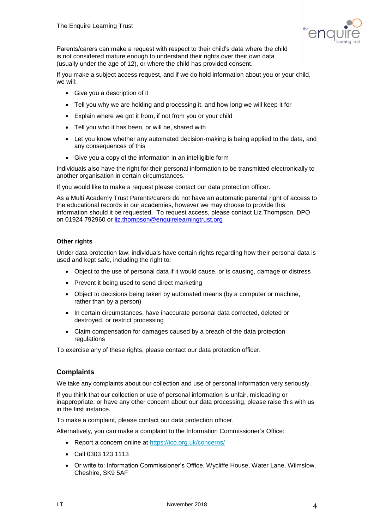

Parents/carers can make a request with respect to their child's data where the child is not considered mature enough to understand their rights over their own data (usually under the age of 12), or where the child has provided consent.

If you make a subject access request, and if we do hold information about you or your child, we will:

- Give you a description of it
- Tell you why we are holding and processing it, and how long we will keep it for
- Explain where we got it from, if not from you or your child
- Tell you who it has been, or will be, shared with
- Let you know whether any automated decision-making is being applied to the data, and any consequences of this
- Give you a copy of the information in an intelligible form

Individuals also have the right for their personal information to be transmitted electronically to another organisation in certain circumstances.

If you would like to make a request please contact our data protection officer.

As a Multi Academy Trust Parents/carers do not have an automatic parental right of access to the educational records in our academies, however we may choose to provide this information should it be requested. To request access, please contact Liz Thompson, DPO on 01924 792960 or [liz.thompson@enquirelearningtrust.org](mailto:liz.thompson@enquirelearningtrust.org)

## **Other rights**

Under data protection law, individuals have certain rights regarding how their personal data is used and kept safe, including the right to:

- Object to the use of personal data if it would cause, or is causing, damage or distress
- Prevent it being used to send direct marketing
- Object to decisions being taken by automated means (by a computer or machine, rather than by a person)
- In certain circumstances, have inaccurate personal data corrected, deleted or destroyed, or restrict processing
- Claim compensation for damages caused by a breach of the data protection regulations

To exercise any of these rights, please contact our data protection officer.

## **Complaints**

We take any complaints about our collection and use of personal information very seriously.

If you think that our collection or use of personal information is unfair, misleading or inappropriate, or have any other concern about our data processing, please raise this with us in the first instance.

To make a complaint, please contact our data protection officer.

Alternatively, you can make a complaint to the Information Commissioner's Office:

- Report a concern online at<https://ico.org.uk/concerns/>
- Call 0303 123 1113
- Or write to: Information Commissioner's Office, Wycliffe House, Water Lane, Wilmslow, Cheshire, SK9 5AF